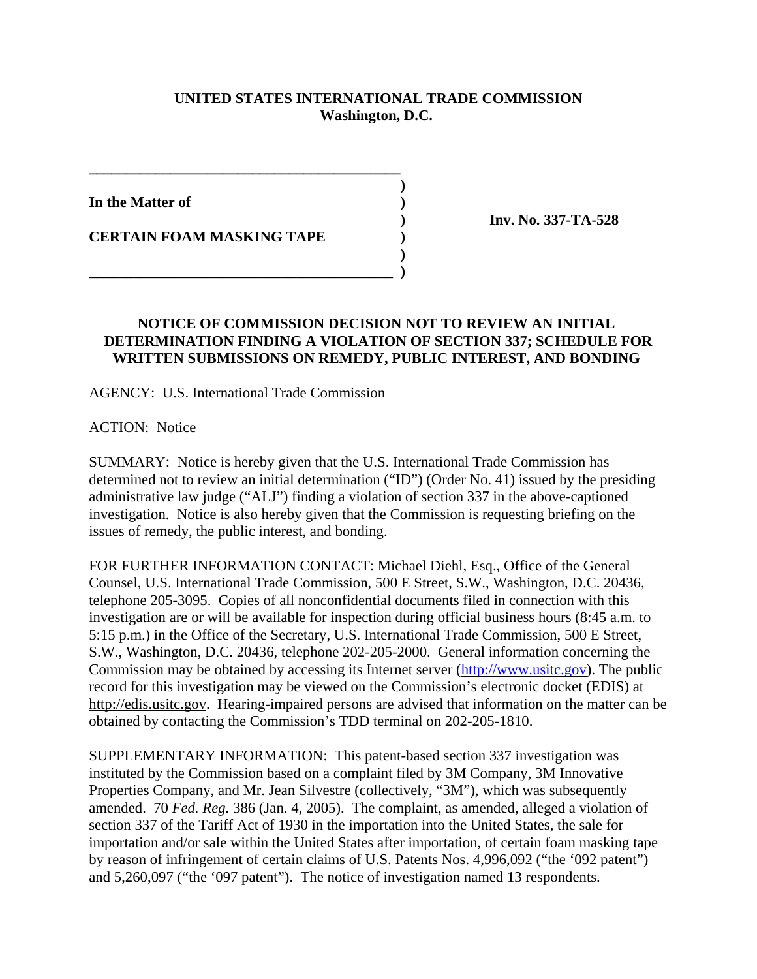## **UNITED STATES INTERNATIONAL TRADE COMMISSION Washington, D.C.**

**)**

**)**

**In the Matter of )**

**CERTAIN FOAM MASKING TAPE )**

**\_\_\_\_\_\_\_\_\_\_\_\_\_\_\_\_\_\_\_\_\_\_\_\_\_\_\_\_\_\_\_\_\_\_\_\_\_\_\_\_\_\_**

**\_\_\_\_\_\_\_\_\_\_\_\_\_\_\_\_\_\_\_\_\_\_\_\_\_\_\_\_\_\_\_\_\_\_\_\_\_\_\_\_\_ )**

**) Inv. No. 337-TA-528**

## **NOTICE OF COMMISSION DECISION NOT TO REVIEW AN INITIAL DETERMINATION FINDING A VIOLATION OF SECTION 337; SCHEDULE FOR WRITTEN SUBMISSIONS ON REMEDY, PUBLIC INTEREST, AND BONDING**

AGENCY: U.S. International Trade Commission

ACTION: Notice

SUMMARY: Notice is hereby given that the U.S. International Trade Commission has determined not to review an initial determination ("ID") (Order No. 41) issued by the presiding administrative law judge ("ALJ") finding a violation of section 337 in the above-captioned investigation. Notice is also hereby given that the Commission is requesting briefing on the issues of remedy, the public interest, and bonding.

FOR FURTHER INFORMATION CONTACT: Michael Diehl, Esq., Office of the General Counsel, U.S. International Trade Commission, 500 E Street, S.W., Washington, D.C. 20436, telephone 205-3095. Copies of all nonconfidential documents filed in connection with this investigation are or will be available for inspection during official business hours (8:45 a.m. to 5:15 p.m.) in the Office of the Secretary, U.S. International Trade Commission, 500 E Street, S.W., Washington, D.C. 20436, telephone 202-205-2000. General information concerning the Commission may be obtained by accessing its Internet server (http://www.usitc.gov). The public record for this investigation may be viewed on the Commission's electronic docket (EDIS) at http://edis.usitc.gov. Hearing-impaired persons are advised that information on the matter can be obtained by contacting the Commission's TDD terminal on 202-205-1810.

SUPPLEMENTARY INFORMATION: This patent-based section 337 investigation was instituted by the Commission based on a complaint filed by 3M Company, 3M Innovative Properties Company, and Mr. Jean Silvestre (collectively, "3M"), which was subsequently amended. 70 *Fed. Reg.* 386 (Jan. 4, 2005). The complaint, as amended, alleged a violation of section 337 of the Tariff Act of 1930 in the importation into the United States, the sale for importation and/or sale within the United States after importation, of certain foam masking tape by reason of infringement of certain claims of U.S. Patents Nos. 4,996,092 ("the '092 patent") and 5,260,097 ("the '097 patent"). The notice of investigation named 13 respondents.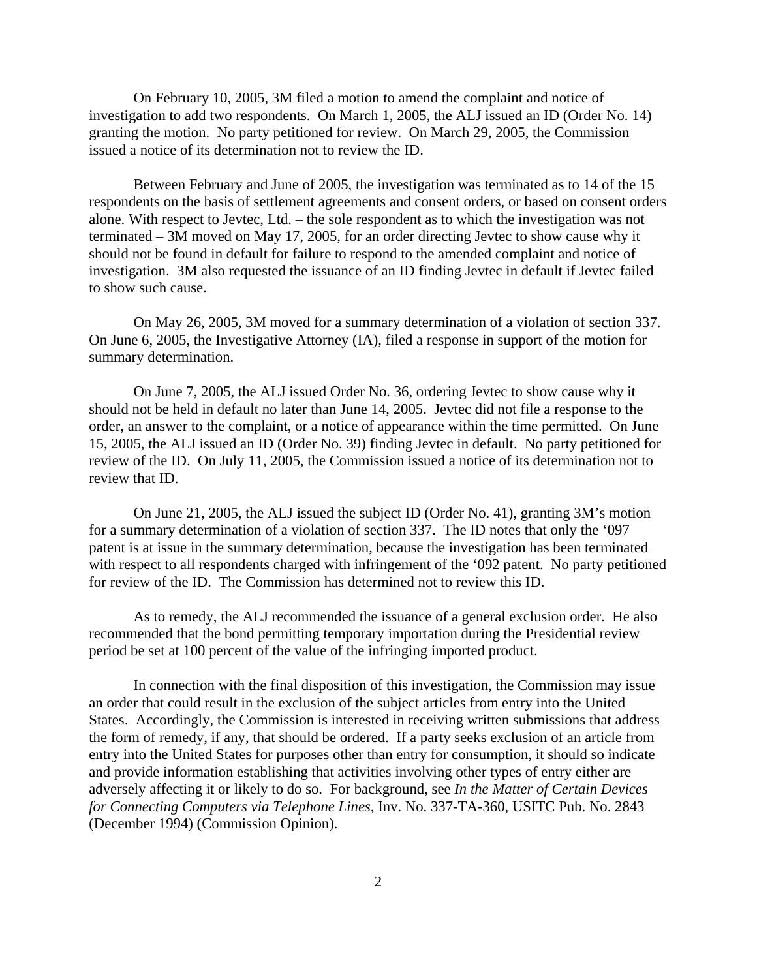On February 10, 2005, 3M filed a motion to amend the complaint and notice of investigation to add two respondents. On March 1, 2005, the ALJ issued an ID (Order No. 14) granting the motion. No party petitioned for review. On March 29, 2005, the Commission issued a notice of its determination not to review the ID.

Between February and June of 2005, the investigation was terminated as to 14 of the 15 respondents on the basis of settlement agreements and consent orders, or based on consent orders alone. With respect to Jevtec, Ltd. – the sole respondent as to which the investigation was not terminated – 3M moved on May 17, 2005, for an order directing Jevtec to show cause why it should not be found in default for failure to respond to the amended complaint and notice of investigation. 3M also requested the issuance of an ID finding Jevtec in default if Jevtec failed to show such cause.

On May 26, 2005, 3M moved for a summary determination of a violation of section 337. On June 6, 2005, the Investigative Attorney (IA), filed a response in support of the motion for summary determination.

On June 7, 2005, the ALJ issued Order No. 36, ordering Jevtec to show cause why it should not be held in default no later than June 14, 2005. Jevtec did not file a response to the order, an answer to the complaint, or a notice of appearance within the time permitted. On June 15, 2005, the ALJ issued an ID (Order No. 39) finding Jevtec in default. No party petitioned for review of the ID. On July 11, 2005, the Commission issued a notice of its determination not to review that ID.

 On June 21, 2005, the ALJ issued the subject ID (Order No. 41), granting 3M's motion for a summary determination of a violation of section 337. The ID notes that only the '097 patent is at issue in the summary determination, because the investigation has been terminated with respect to all respondents charged with infringement of the '092 patent. No party petitioned for review of the ID. The Commission has determined not to review this ID.

As to remedy, the ALJ recommended the issuance of a general exclusion order. He also recommended that the bond permitting temporary importation during the Presidential review period be set at 100 percent of the value of the infringing imported product.

In connection with the final disposition of this investigation, the Commission may issue an order that could result in the exclusion of the subject articles from entry into the United States. Accordingly, the Commission is interested in receiving written submissions that address the form of remedy, if any, that should be ordered. If a party seeks exclusion of an article from entry into the United States for purposes other than entry for consumption, it should so indicate and provide information establishing that activities involving other types of entry either are adversely affecting it or likely to do so. For background, see *In the Matter of Certain Devices for Connecting Computers via Telephone Lines,* Inv. No. 337-TA-360, USITC Pub. No. 2843 (December 1994) (Commission Opinion).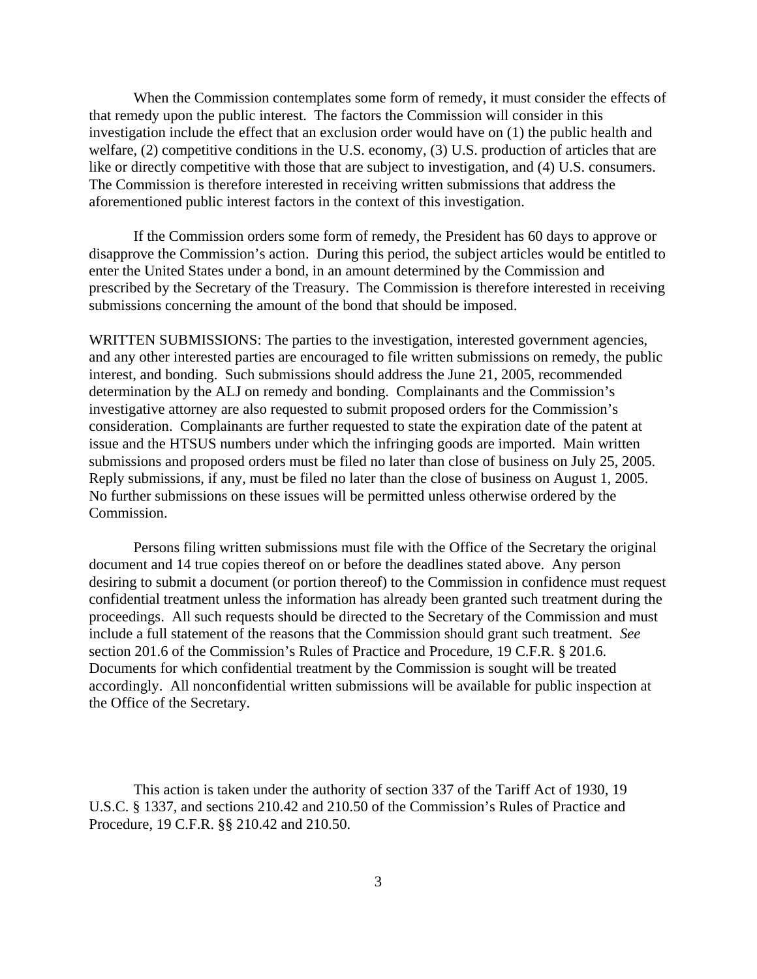When the Commission contemplates some form of remedy, it must consider the effects of that remedy upon the public interest. The factors the Commission will consider in this investigation include the effect that an exclusion order would have on (1) the public health and welfare, (2) competitive conditions in the U.S. economy, (3) U.S. production of articles that are like or directly competitive with those that are subject to investigation, and (4) U.S. consumers. The Commission is therefore interested in receiving written submissions that address the aforementioned public interest factors in the context of this investigation.

If the Commission orders some form of remedy, the President has 60 days to approve or disapprove the Commission's action. During this period, the subject articles would be entitled to enter the United States under a bond, in an amount determined by the Commission and prescribed by the Secretary of the Treasury. The Commission is therefore interested in receiving submissions concerning the amount of the bond that should be imposed.

WRITTEN SUBMISSIONS: The parties to the investigation, interested government agencies, and any other interested parties are encouraged to file written submissions on remedy, the public interest, and bonding. Such submissions should address the June 21, 2005, recommended determination by the ALJ on remedy and bonding. Complainants and the Commission's investigative attorney are also requested to submit proposed orders for the Commission's consideration. Complainants are further requested to state the expiration date of the patent at issue and the HTSUS numbers under which the infringing goods are imported. Main written submissions and proposed orders must be filed no later than close of business on July 25, 2005. Reply submissions, if any, must be filed no later than the close of business on August 1, 2005. No further submissions on these issues will be permitted unless otherwise ordered by the Commission.

Persons filing written submissions must file with the Office of the Secretary the original document and 14 true copies thereof on or before the deadlines stated above. Any person desiring to submit a document (or portion thereof) to the Commission in confidence must request confidential treatment unless the information has already been granted such treatment during the proceedings. All such requests should be directed to the Secretary of the Commission and must include a full statement of the reasons that the Commission should grant such treatment. *See* section 201.6 of the Commission's Rules of Practice and Procedure, 19 C.F.R. § 201.6. Documents for which confidential treatment by the Commission is sought will be treated accordingly. All nonconfidential written submissions will be available for public inspection at the Office of the Secretary.

This action is taken under the authority of section 337 of the Tariff Act of 1930, 19 U.S.C. § 1337, and sections 210.42 and 210.50 of the Commission's Rules of Practice and Procedure, 19 C.F.R. §§ 210.42 and 210.50.